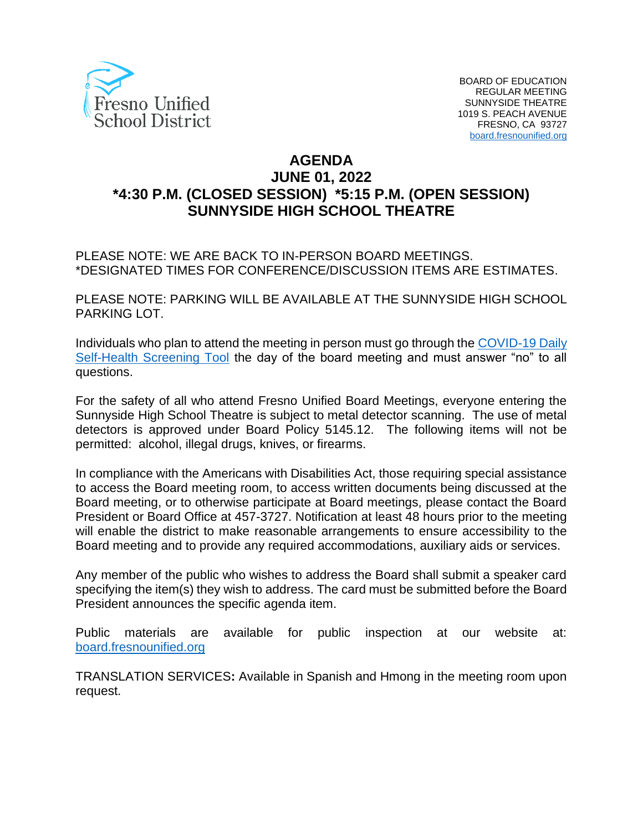

# **AGENDA JUNE 01, 2022 \*4:30 P.M. (CLOSED SESSION) \*5:15 P.M. (OPEN SESSION) SUNNYSIDE HIGH SCHOOL THEATRE**

PLEASE NOTE: WE ARE BACK TO IN-PERSON BOARD MEETINGS. \*DESIGNATED TIMES FOR CONFERENCE/DISCUSSION ITEMS ARE ESTIMATES.

PLEASE NOTE: PARKING WILL BE AVAILABLE AT THE SUNNYSIDE HIGH SCHOOL PARKING LOT.

Individuals who plan to attend the meeting in person must go through the [COVID-19 Daily](https://www.fresnounified.org/covid19/)  [Self-Health Screening Tool](https://www.fresnounified.org/covid19/) the day of the board meeting and must answer "no" to all questions.

For the safety of all who attend Fresno Unified Board Meetings, everyone entering the Sunnyside High School Theatre is subject to metal detector scanning. The use of metal detectors is approved under Board Policy 5145.12. The following items will not be permitted: alcohol, illegal drugs, knives, or firearms.

In compliance with the Americans with Disabilities Act, those requiring special assistance to access the Board meeting room, to access written documents being discussed at the Board meeting, or to otherwise participate at Board meetings, please contact the Board President or Board Office at 457-3727. Notification at least 48 hours prior to the meeting will enable the district to make reasonable arrangements to ensure accessibility to the Board meeting and to provide any required accommodations, auxiliary aids or services.

Any member of the public who wishes to address the Board shall submit a speaker card specifying the item(s) they wish to address. The card must be submitted before the Board President announces the specific agenda item.

Public materials are available for public inspection at our website at: [board.fresnounified.org](https://board.fresnounified.org/)

TRANSLATION SERVICES**:** Available in Spanish and Hmong in the meeting room upon request.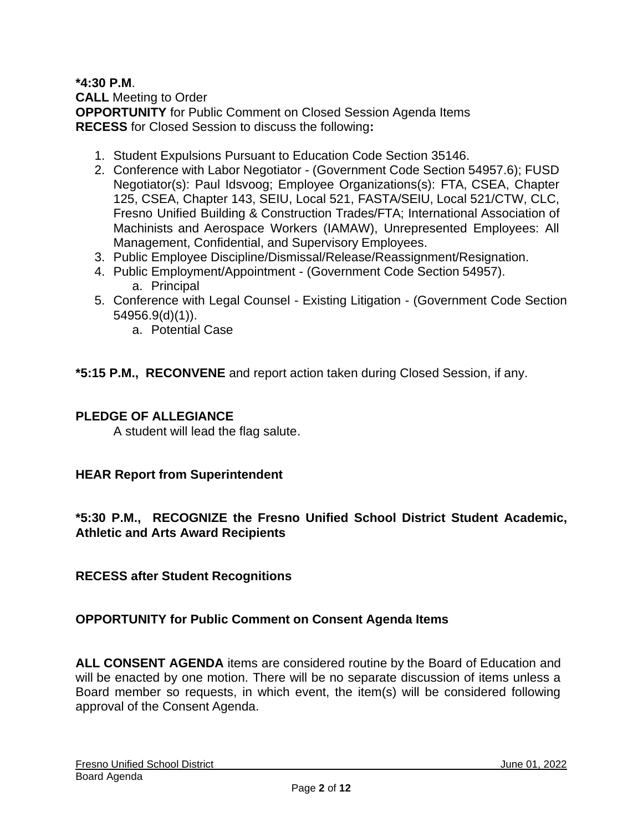### **\*4:30 P.M**.

**CALL** Meeting to Order **OPPORTUNITY** for Public Comment on Closed Session Agenda Items **RECESS** for Closed Session to discuss the following**:**

- 1. Student Expulsions Pursuant to Education Code Section 35146.
- 2. Conference with Labor Negotiator (Government Code Section 54957.6); FUSD Negotiator(s): Paul Idsvoog; Employee Organizations(s): FTA, CSEA, Chapter 125, CSEA, Chapter 143, SEIU, Local 521, FASTA/SEIU, Local 521/CTW, CLC, Fresno Unified Building & Construction Trades/FTA; International Association of Machinists and Aerospace Workers (IAMAW), Unrepresented Employees: All Management, Confidential, and Supervisory Employees.
- 3. Public Employee Discipline/Dismissal/Release/Reassignment/Resignation.
- 4. Public Employment/Appointment (Government Code Section 54957). a. Principal
- 5. Conference with Legal Counsel Existing Litigation (Government Code Section 54956.9(d)(1)).
	- a. Potential Case

**\*5:15 P.M., RECONVENE** and report action taken during Closed Session, if any.

### **PLEDGE OF ALLEGIANCE**

A student will lead the flag salute.

### **HEAR Report from Superintendent**

## **\*5:30 P.M., RECOGNIZE the Fresno Unified School District Student Academic, Athletic and Arts Award Recipients**

### **RECESS after Student Recognitions**

### **OPPORTUNITY for Public Comment on Consent Agenda Items**

**ALL CONSENT AGENDA** items are considered routine by the Board of Education and will be enacted by one motion. There will be no separate discussion of items unless a Board member so requests, in which event, the item(s) will be considered following approval of the Consent Agenda.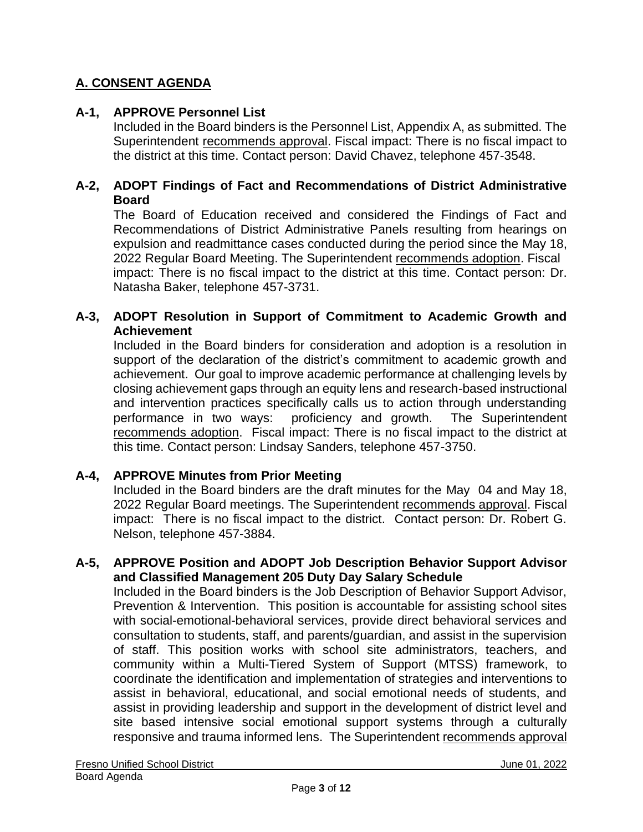# **A. CONSENT AGENDA**

## **A-1, APPROVE Personnel List**

Included in the Board binders is the Personnel List, Appendix A, as submitted. The Superintendent recommends approval. Fiscal impact: There is no fiscal impact to the district at this time. Contact person: David Chavez, telephone 457-3548.

### **A-2, ADOPT Findings of Fact and Recommendations of District Administrative Board**

The Board of Education received and considered the Findings of Fact and Recommendations of District Administrative Panels resulting from hearings on expulsion and readmittance cases conducted during the period since the May 18, 2022 Regular Board Meeting. The Superintendent recommends adoption. Fiscal impact: There is no fiscal impact to the district at this time. Contact person: Dr. Natasha Baker, telephone 457-3731.

### **A-3, ADOPT Resolution in Support of Commitment to Academic Growth and Achievement**

Included in the Board binders for consideration and adoption is a resolution in support of the declaration of the district's commitment to academic growth and achievement. Our goal to improve academic performance at challenging levels by closing achievement gaps through an equity lens and research-based instructional and intervention practices specifically calls us to action through understanding performance in two ways: proficiency and growth. The Superintendent recommends adoption. Fiscal impact: There is no fiscal impact to the district at this time. Contact person: Lindsay Sanders, telephone 457-3750.

### **A-4, APPROVE Minutes from Prior Meeting**

Included in the Board binders are the draft minutes for the May 04 and May 18, 2022 Regular Board meetings. The Superintendent recommends approval. Fiscal impact: There is no fiscal impact to the district. Contact person: Dr. Robert G. Nelson, telephone 457-3884.

### **A-5, APPROVE Position and ADOPT Job Description Behavior Support Advisor and Classified Management 205 Duty Day Salary Schedule**

Included in the Board binders is the Job Description of Behavior Support Advisor, Prevention & Intervention. This position is accountable for assisting school sites with social-emotional-behavioral services, provide direct behavioral services and consultation to students, staff, and parents/guardian, and assist in the supervision of staff. This position works with school site administrators, teachers, and community within a Multi-Tiered System of Support (MTSS) framework, to coordinate the identification and implementation of strategies and interventions to assist in behavioral, educational, and social emotional needs of students, and assist in providing leadership and support in the development of district level and site based intensive social emotional support systems through a culturally responsive and trauma informed lens. The Superintendent recommends approval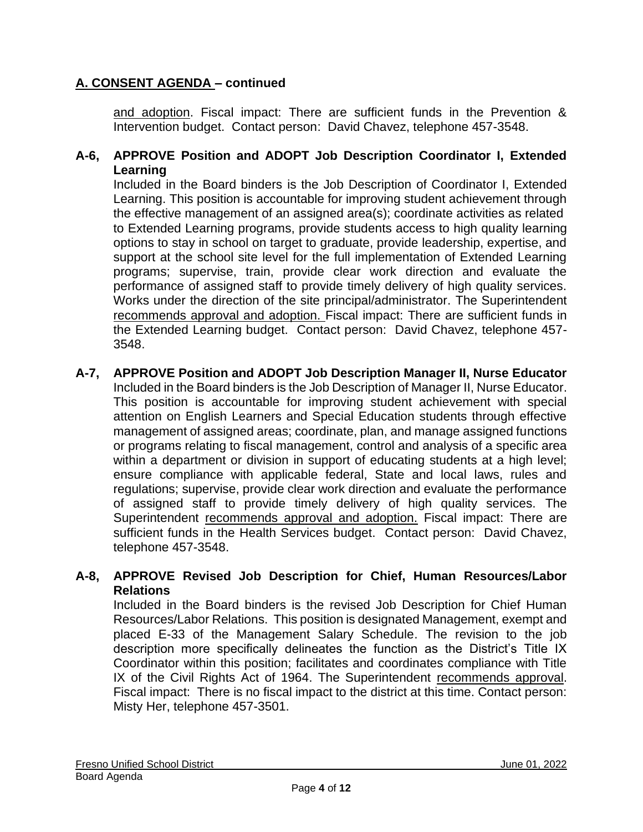and adoption. Fiscal impact: There are sufficient funds in the Prevention & Intervention budget. Contact person: David Chavez, telephone 457-3548.

## **A-6, APPROVE Position and ADOPT Job Description Coordinator I, Extended Learning**

Included in the Board binders is the Job Description of Coordinator I, Extended Learning. This position is accountable for improving student achievement through the effective management of an assigned area(s); coordinate activities as related to Extended Learning programs, provide students access to high quality learning options to stay in school on target to graduate, provide leadership, expertise, and support at the school site level for the full implementation of Extended Learning programs; supervise, train, provide clear work direction and evaluate the performance of assigned staff to provide timely delivery of high quality services. Works under the direction of the site principal/administrator. The Superintendent recommends approval and adoption. Fiscal impact: There are sufficient funds in the Extended Learning budget. Contact person: David Chavez, telephone 457- 3548.

**A-7, APPROVE Position and ADOPT Job Description Manager II, Nurse Educator** Included in the Board binders is the Job Description of Manager II, Nurse Educator. This position is accountable for improving student achievement with special attention on English Learners and Special Education students through effective management of assigned areas; coordinate, plan, and manage assigned functions or programs relating to fiscal management, control and analysis of a specific area within a department or division in support of educating students at a high level; ensure compliance with applicable federal, State and local laws, rules and regulations; supervise, provide clear work direction and evaluate the performance of assigned staff to provide timely delivery of high quality services. The Superintendent recommends approval and adoption. Fiscal impact: There are sufficient funds in the Health Services budget. Contact person: David Chavez, telephone 457-3548.

## **A-8, APPROVE Revised Job Description for Chief, Human Resources/Labor Relations**

Included in the Board binders is the revised Job Description for Chief Human Resources/Labor Relations. This position is designated Management, exempt and placed E-33 of the Management Salary Schedule. The revision to the job description more specifically delineates the function as the District's Title IX Coordinator within this position; facilitates and coordinates compliance with Title IX of the Civil Rights Act of 1964. The Superintendent recommends approval. Fiscal impact: There is no fiscal impact to the district at this time. Contact person: Misty Her, telephone 457-3501.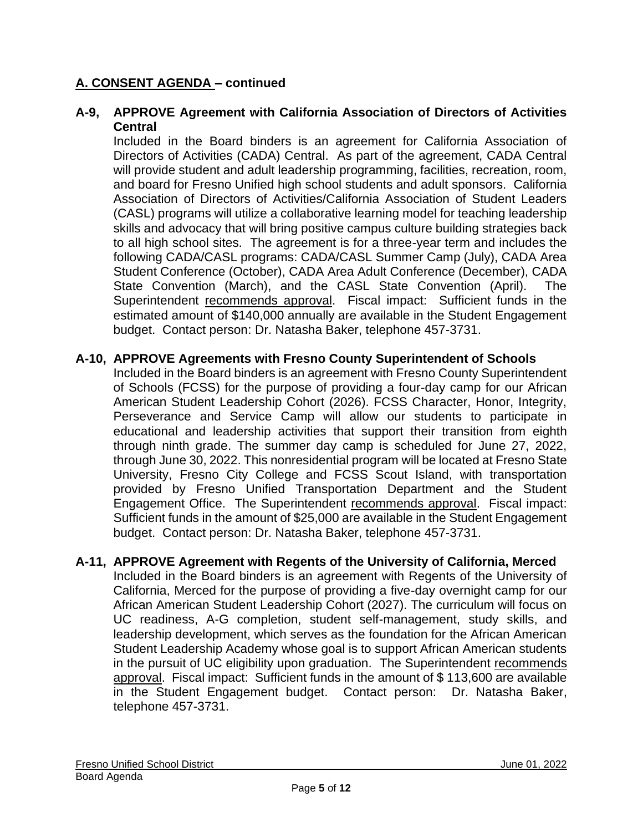## **A-9, APPROVE Agreement with California Association of Directors of Activities Central**

Included in the Board binders is an agreement for California Association of Directors of Activities (CADA) Central. As part of the agreement, CADA Central will provide student and adult leadership programming, facilities, recreation, room, and board for Fresno Unified high school students and adult sponsors. California Association of Directors of Activities/California Association of Student Leaders (CASL) programs will utilize a collaborative learning model for teaching leadership skills and advocacy that will bring positive campus culture building strategies back to all high school sites. The agreement is for a three-year term and includes the following CADA/CASL programs: CADA/CASL Summer Camp (July), CADA Area Student Conference (October), CADA Area Adult Conference (December), CADA State Convention (March), and the CASL State Convention (April). The Superintendent recommends approval. Fiscal impact: Sufficient funds in the estimated amount of \$140,000 annually are available in the Student Engagement budget. Contact person: Dr. Natasha Baker, telephone 457-3731.

## **A-10, APPROVE Agreements with Fresno County Superintendent of Schools**

Included in the Board binders is an agreement with Fresno County Superintendent of Schools (FCSS) for the purpose of providing a four-day camp for our African American Student Leadership Cohort (2026). FCSS Character, Honor, Integrity, Perseverance and Service Camp will allow our students to participate in educational and leadership activities that support their transition from eighth through ninth grade. The summer day camp is scheduled for June 27, 2022, through June 30, 2022. This nonresidential program will be located at Fresno State University, Fresno City College and FCSS Scout Island, with transportation provided by Fresno Unified Transportation Department and the Student Engagement Office. The Superintendent recommends approval. Fiscal impact: Sufficient funds in the amount of \$25,000 are available in the Student Engagement budget. Contact person: Dr. Natasha Baker, telephone 457-3731.

## **A-11, APPROVE Agreement with Regents of the University of California, Merced**

Included in the Board binders is an agreement with Regents of the University of California, Merced for the purpose of providing a five-day overnight camp for our African American Student Leadership Cohort (2027). The curriculum will focus on UC readiness, A-G completion, student self-management, study skills, and leadership development, which serves as the foundation for the African American Student Leadership Academy whose goal is to support African American students in the pursuit of UC eligibility upon graduation. The Superintendent recommends approval. Fiscal impact: Sufficient funds in the amount of \$ 113,600 are available in the Student Engagement budget. Contact person: Dr. Natasha Baker, telephone 457-3731.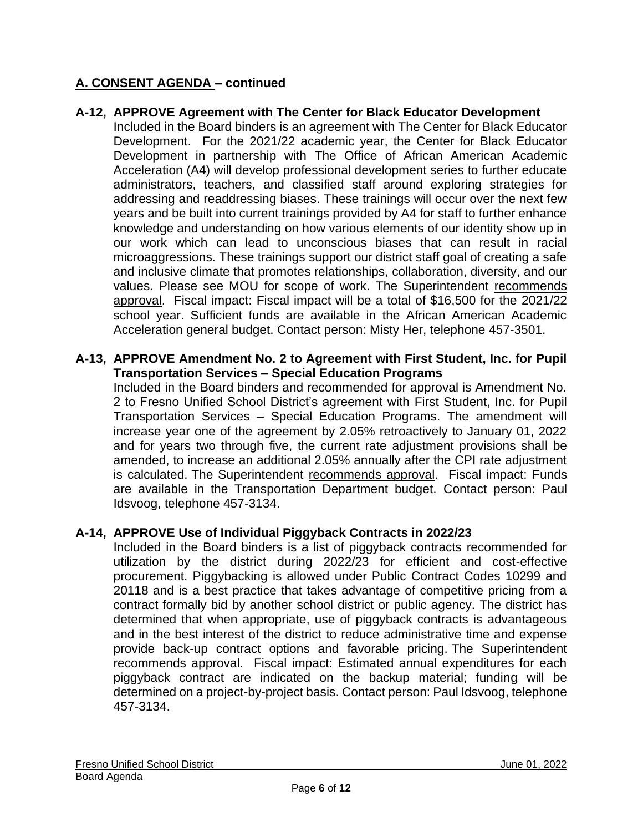## **A-12, APPROVE Agreement with The Center for Black Educator Development**

Included in the Board binders is an agreement with The Center for Black Educator Development. For the 2021/22 academic year, the Center for Black Educator Development in partnership with The Office of African American Academic Acceleration (A4) will develop professional development series to further educate administrators, teachers, and classified staff around exploring strategies for addressing and readdressing biases. These trainings will occur over the next few years and be built into current trainings provided by A4 for staff to further enhance knowledge and understanding on how various elements of our identity show up in our work which can lead to unconscious biases that can result in racial microaggressions. These trainings support our district staff goal of creating a safe and inclusive climate that promotes relationships, collaboration, diversity, and our values. Please see MOU for scope of work. The Superintendent recommends approval. Fiscal impact: Fiscal impact will be a total of \$16,500 for the 2021/22 school year. Sufficient funds are available in the African American Academic Acceleration general budget. Contact person: Misty Her, telephone 457-3501.

### **A-13, APPROVE Amendment No. 2 to Agreement with First Student, Inc. for Pupil Transportation Services – Special Education Programs**

Included in the Board binders and recommended for approval is Amendment No. 2 to Fresno Unified School District's agreement with First Student, Inc. for Pupil Transportation Services – Special Education Programs. The amendment will increase year one of the agreement by 2.05% retroactively to January 01, 2022 and for years two through five, the current rate adjustment provisions shall be amended, to increase an additional 2.05% annually after the CPI rate adjustment is calculated. The Superintendent recommends approval. Fiscal impact: Funds are available in the Transportation Department budget. Contact person: Paul Idsvoog, telephone 457-3134.

## **A-14, APPROVE Use of Individual Piggyback Contracts in 2022/23**

Included in the Board binders is a list of piggyback contracts recommended for utilization by the district during 2022/23 for efficient and cost-effective procurement. Piggybacking is allowed under Public Contract Codes 10299 and 20118 and is a best practice that takes advantage of competitive pricing from a contract formally bid by another school district or public agency. The district has determined that when appropriate, use of piggyback contracts is advantageous and in the best interest of the district to reduce administrative time and expense provide back-up contract options and favorable pricing. The Superintendent recommends approval. Fiscal impact: Estimated annual expenditures for each piggyback contract are indicated on the backup material; funding will be determined on a project-by-project basis. Contact person: Paul Idsvoog, telephone 457-3134.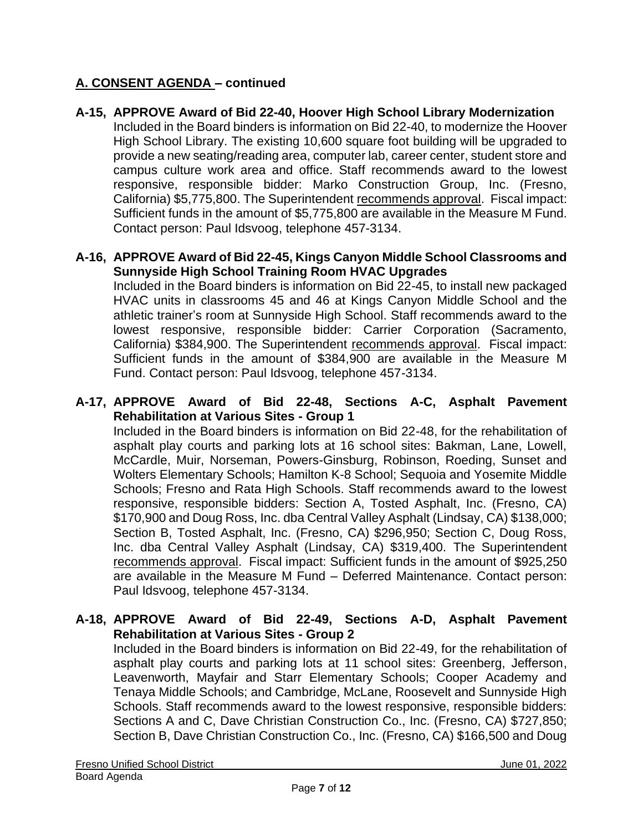### **A-15, APPROVE Award of Bid 22-40, Hoover High School Library Modernization**

Included in the Board binders is information on Bid 22-40, to modernize the Hoover High School Library. The existing 10,600 square foot building will be upgraded to provide a new seating/reading area, computer lab, career center, student store and campus culture work area and office. Staff recommends award to the lowest responsive, responsible bidder: Marko Construction Group, Inc. (Fresno, California) \$5,775,800. The Superintendent recommends approval. Fiscal impact: Sufficient funds in the amount of \$5,775,800 are available in the Measure M Fund. Contact person: Paul Idsvoog, telephone 457-3134.

### **A-16, APPROVE Award of Bid 22-45, Kings Canyon Middle School Classrooms and Sunnyside High School Training Room HVAC Upgrades**

Included in the Board binders is information on Bid 22-45, to install new packaged HVAC units in classrooms 45 and 46 at Kings Canyon Middle School and the athletic trainer's room at Sunnyside High School. Staff recommends award to the lowest responsive, responsible bidder: Carrier Corporation (Sacramento, California) \$384,900. The Superintendent recommends approval. Fiscal impact: Sufficient funds in the amount of \$384,900 are available in the Measure M Fund. Contact person: Paul Idsvoog, telephone 457-3134.

## **A-17, APPROVE Award of Bid 22-48, Sections A-C, Asphalt Pavement Rehabilitation at Various Sites - Group 1**

Included in the Board binders is information on Bid 22-48, for the rehabilitation of asphalt play courts and parking lots at 16 school sites: Bakman, Lane, Lowell, McCardle, Muir, Norseman, Powers-Ginsburg, Robinson, Roeding, Sunset and Wolters Elementary Schools; Hamilton K-8 School; Sequoia and Yosemite Middle Schools; Fresno and Rata High Schools. Staff recommends award to the lowest responsive, responsible bidders: Section A, Tosted Asphalt, Inc. (Fresno, CA) \$170,900 and Doug Ross, Inc. dba Central Valley Asphalt (Lindsay, CA) \$138,000; Section B, Tosted Asphalt, Inc. (Fresno, CA) \$296,950; Section C, Doug Ross, Inc. dba Central Valley Asphalt (Lindsay, CA) \$319,400. The Superintendent recommends approval. Fiscal impact: Sufficient funds in the amount of \$925,250 are available in the Measure M Fund – Deferred Maintenance. Contact person: Paul Idsvoog, telephone 457-3134.

## **A-18, APPROVE Award of Bid 22-49, Sections A-D, Asphalt Pavement Rehabilitation at Various Sites - Group 2**

Included in the Board binders is information on Bid 22-49, for the rehabilitation of asphalt play courts and parking lots at 11 school sites: Greenberg, Jefferson, Leavenworth, Mayfair and Starr Elementary Schools; Cooper Academy and Tenaya Middle Schools; and Cambridge, McLane, Roosevelt and Sunnyside High Schools. Staff recommends award to the lowest responsive, responsible bidders: Sections A and C, Dave Christian Construction Co., Inc. (Fresno, CA) \$727,850; Section B, Dave Christian Construction Co., Inc. (Fresno, CA) \$166,500 and Doug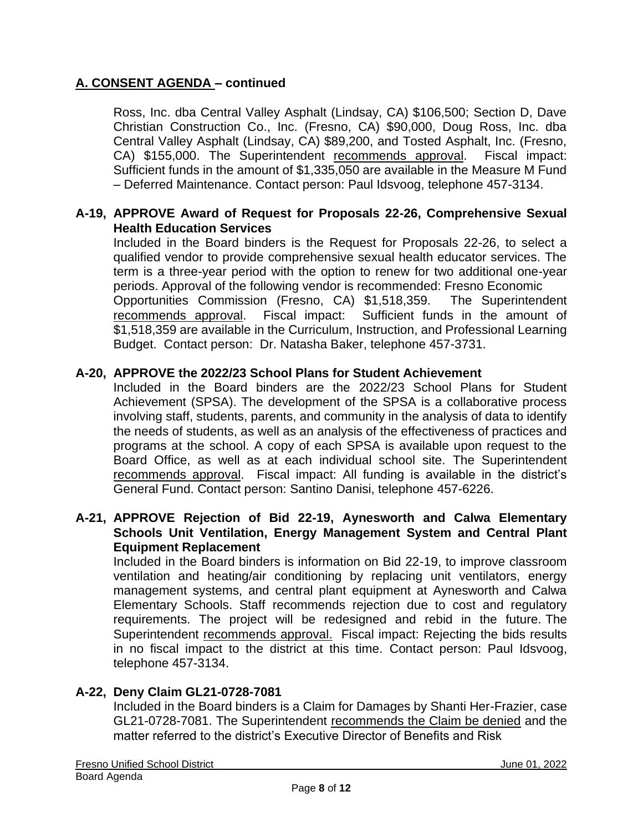Ross, Inc. dba Central Valley Asphalt (Lindsay, CA) \$106,500; Section D, Dave Christian Construction Co., Inc. (Fresno, CA) \$90,000, Doug Ross, Inc. dba Central Valley Asphalt (Lindsay, CA) \$89,200, and Tosted Asphalt, Inc. (Fresno, CA) \$155,000. The Superintendent recommends approval. Fiscal impact: Sufficient funds in the amount of \$1,335,050 are available in the Measure M Fund – Deferred Maintenance. Contact person: Paul Idsvoog, telephone 457-3134.

## **A-19, APPROVE Award of Request for Proposals 22-26, Comprehensive Sexual Health Education Services**

Included in the Board binders is the Request for Proposals 22-26, to select a qualified vendor to provide comprehensive sexual health educator services. The term is a three-year period with the option to renew for two additional one-year periods. Approval of the following vendor is recommended: Fresno Economic Opportunities Commission (Fresno, CA) \$1,518,359. The Superintendent recommends approval. Fiscal impact: Sufficient funds in the amount of \$1,518,359 are available in the Curriculum, Instruction, and Professional Learning Budget. Contact person: Dr. Natasha Baker, telephone 457-3731.

## **A-20, APPROVE the 2022/23 School Plans for Student Achievement**

Included in the Board binders are the 2022/23 School Plans for Student Achievement (SPSA). The development of the SPSA is a collaborative process involving staff, students, parents, and community in the analysis of data to identify the needs of students, as well as an analysis of the effectiveness of practices and programs at the school. A copy of each SPSA is available upon request to the Board Office, as well as at each individual school site. The Superintendent recommends approval. Fiscal impact: All funding is available in the district's General Fund. Contact person: Santino Danisi, telephone 457-6226.

## **A-21, APPROVE Rejection of Bid 22-19, Aynesworth and Calwa Elementary Schools Unit Ventilation, Energy Management System and Central Plant Equipment Replacement**

Included in the Board binders is information on Bid 22-19, to improve classroom ventilation and heating/air conditioning by replacing unit ventilators, energy management systems, and central plant equipment at Aynesworth and Calwa Elementary Schools. Staff recommends rejection due to cost and regulatory requirements. The project will be redesigned and rebid in the future. The Superintendent recommends approval. Fiscal impact: Rejecting the bids results in no fiscal impact to the district at this time. Contact person: Paul Idsvoog, telephone 457-3134.

### **A-22, Deny Claim GL21-0728-7081**

Included in the Board binders is a Claim for Damages by Shanti Her-Frazier, case GL21-0728-7081. The Superintendent recommends the Claim be denied and the matter referred to the district's Executive Director of Benefits and Risk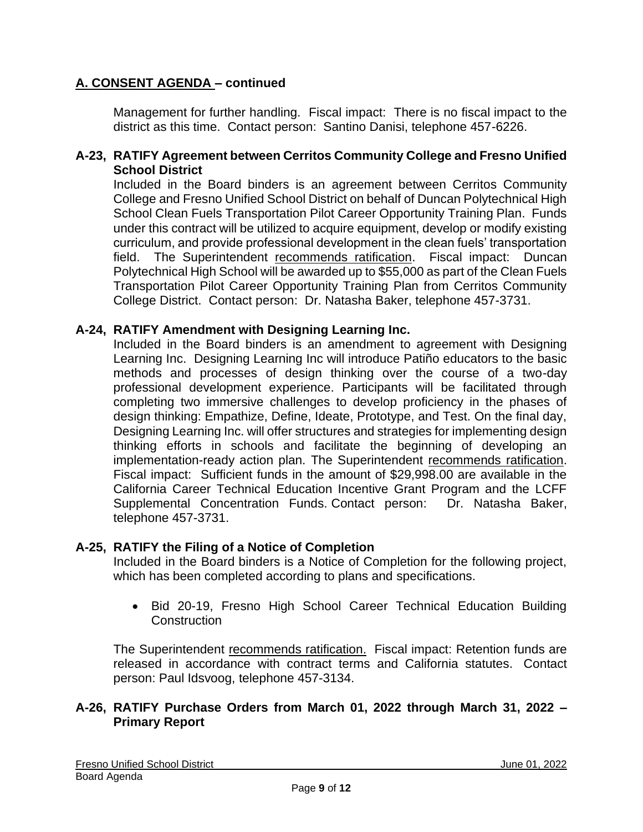Management for further handling. Fiscal impact: There is no fiscal impact to the district as this time. Contact person: Santino Danisi, telephone 457-6226.

### **A-23, RATIFY Agreement between Cerritos Community College and Fresno Unified School District**

Included in the Board binders is an agreement between Cerritos Community College and Fresno Unified School District on behalf of Duncan Polytechnical High School Clean Fuels Transportation Pilot Career Opportunity Training Plan. Funds under this contract will be utilized to acquire equipment, develop or modify existing curriculum, and provide professional development in the clean fuels' transportation field. The Superintendent recommends ratification. Fiscal impact: Duncan Polytechnical High School will be awarded up to \$55,000 as part of the Clean Fuels Transportation Pilot Career Opportunity Training Plan from Cerritos Community College District. Contact person: Dr. Natasha Baker, telephone 457-3731.

### **A-24, RATIFY Amendment with Designing Learning Inc.**

Included in the Board binders is an amendment to agreement with Designing Learning Inc. Designing Learning Inc will introduce Patiño educators to the basic methods and processes of design thinking over the course of a two-day professional development experience. Participants will be facilitated through completing two immersive challenges to develop proficiency in the phases of design thinking: Empathize, Define, Ideate, Prototype, and Test. On the final day, Designing Learning Inc. will offer structures and strategies for implementing design thinking efforts in schools and facilitate the beginning of developing an implementation-ready action plan. The Superintendent recommends ratification. Fiscal impact: Sufficient funds in the amount of \$29,998.00 are available in the California Career Technical Education Incentive Grant Program and the LCFF Supplemental Concentration Funds. Contact person: Dr. Natasha Baker, telephone 457-3731.

#### **A-25, RATIFY the Filing of a Notice of Completion**

Included in the Board binders is a Notice of Completion for the following project, which has been completed according to plans and specifications.

• Bid 20-19, Fresno High School Career Technical Education Building **Construction** 

The Superintendent recommends ratification. Fiscal impact: Retention funds are released in accordance with contract terms and California statutes. Contact person: Paul Idsvoog, telephone 457-3134.

### **A-26, RATIFY Purchase Orders from March 01, 2022 through March 31, 2022 – Primary Report**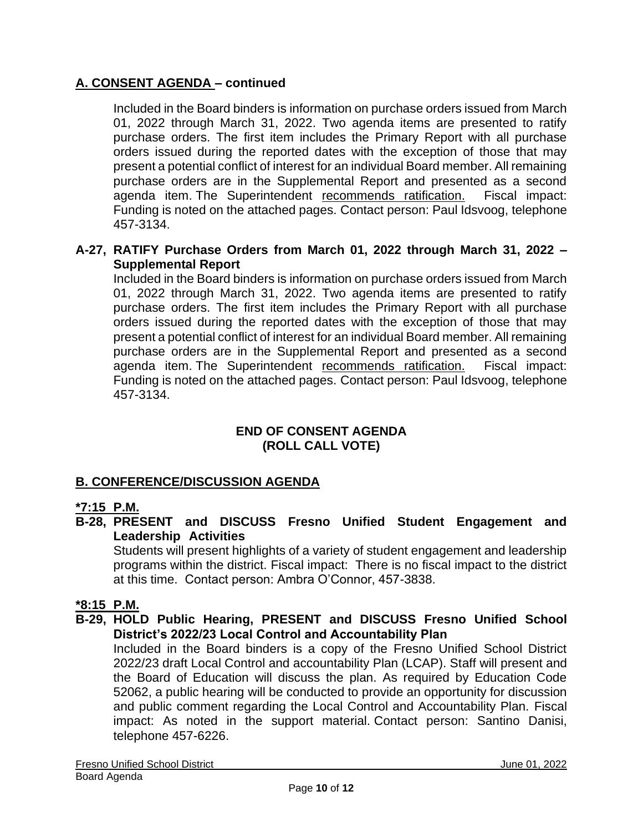Included in the Board binders is information on purchase orders issued from March 01, 2022 through March 31, 2022. Two agenda items are presented to ratify purchase orders. The first item includes the Primary Report with all purchase orders issued during the reported dates with the exception of those that may present a potential conflict of interest for an individual Board member. All remaining purchase orders are in the Supplemental Report and presented as a second agenda item. The Superintendent recommends ratification. Fiscal impact: Funding is noted on the attached pages. Contact person: Paul Idsvoog, telephone 457-3134.

## **A-27, RATIFY Purchase Orders from March 01, 2022 through March 31, 2022 – Supplemental Report**

Included in the Board binders is information on purchase orders issued from March 01, 2022 through March 31, 2022. Two agenda items are presented to ratify purchase orders. The first item includes the Primary Report with all purchase orders issued during the reported dates with the exception of those that may present a potential conflict of interest for an individual Board member. All remaining purchase orders are in the Supplemental Report and presented as a second agenda item. The Superintendent recommends ratification. Fiscal impact: Funding is noted on the attached pages. Contact person: Paul Idsvoog, telephone 457-3134.

### **END OF CONSENT AGENDA (ROLL CALL VOTE)**

## **B. CONFERENCE/DISCUSSION AGENDA**

## **\*7:15 P.M.**

**B-28, PRESENT and DISCUSS Fresno Unified Student Engagement and Leadership Activities**

Students will present highlights of a variety of student engagement and leadership programs within the district. Fiscal impact: There is no fiscal impact to the district at this time. Contact person: Ambra O'Connor, 457-3838.

## **\*8:15 P.M.**

**B-29, HOLD Public Hearing, PRESENT and DISCUSS Fresno Unified School District's 2022/23 Local Control and Accountability Plan**

Included in the Board binders is a copy of the Fresno Unified School District 2022/23 draft Local Control and accountability Plan (LCAP). Staff will present and the Board of Education will discuss the plan. As required by Education Code 52062, a public hearing will be conducted to provide an opportunity for discussion and public comment regarding the Local Control and Accountability Plan. Fiscal impact: As noted in the support material. Contact person: Santino Danisi, telephone 457-6226.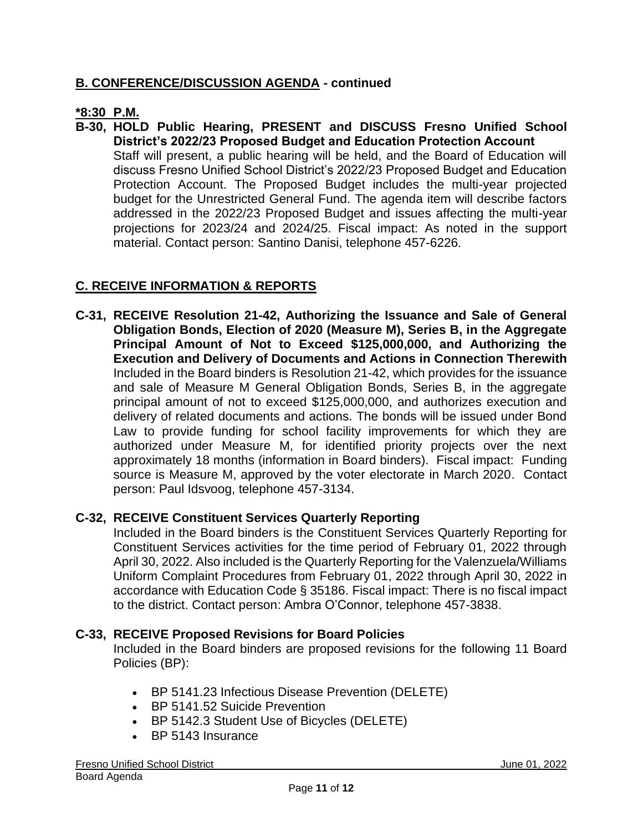## **B. CONFERENCE/DISCUSSION AGENDA - continued**

## **\*8:30 P.M.**

**B-30, HOLD Public Hearing, PRESENT and DISCUSS Fresno Unified School District's 2022/23 Proposed Budget and Education Protection Account** Staff will present, a public hearing will be held, and the Board of Education will

discuss Fresno Unified School District's 2022/23 Proposed Budget and Education Protection Account. The Proposed Budget includes the multi-year projected budget for the Unrestricted General Fund. The agenda item will describe factors addressed in the 2022/23 Proposed Budget and issues affecting the multi-year projections for 2023/24 and 2024/25. Fiscal impact: As noted in the support material. Contact person: Santino Danisi, telephone 457-6226.

# **C. RECEIVE INFORMATION & REPORTS**

**C-31, RECEIVE Resolution 21-42, Authorizing the Issuance and Sale of General Obligation Bonds, Election of 2020 (Measure M), Series B, in the Aggregate Principal Amount of Not to Exceed \$125,000,000, and Authorizing the Execution and Delivery of Documents and Actions in Connection Therewith**  Included in the Board binders is Resolution 21-42, which provides for the issuance and sale of Measure M General Obligation Bonds, Series B, in the aggregate principal amount of not to exceed \$125,000,000, and authorizes execution and delivery of related documents and actions. The bonds will be issued under Bond Law to provide funding for school facility improvements for which they are authorized under Measure M, for identified priority projects over the next approximately 18 months (information in Board binders). Fiscal impact: Funding source is Measure M, approved by the voter electorate in March 2020. Contact person: Paul Idsvoog, telephone 457-3134.

## **C-32, RECEIVE Constituent Services Quarterly Reporting**

Included in the Board binders is the Constituent Services Quarterly Reporting for Constituent Services activities for the time period of February 01, 2022 through April 30, 2022. Also included is the Quarterly Reporting for the Valenzuela/Williams Uniform Complaint Procedures from February 01, 2022 through April 30, 2022 in accordance with Education Code § 35186. Fiscal impact: There is no fiscal impact to the district. Contact person: Ambra O'Connor, telephone 457-3838.

### **C-33, RECEIVE Proposed Revisions for Board Policies**

Included in the Board binders are proposed revisions for the following 11 Board Policies (BP):

- BP 5141.23 Infectious Disease Prevention (DELETE)
- BP 5141.52 Suicide Prevention
- BP 5142.3 Student Use of Bicycles (DELETE)
- BP 5143 Insurance